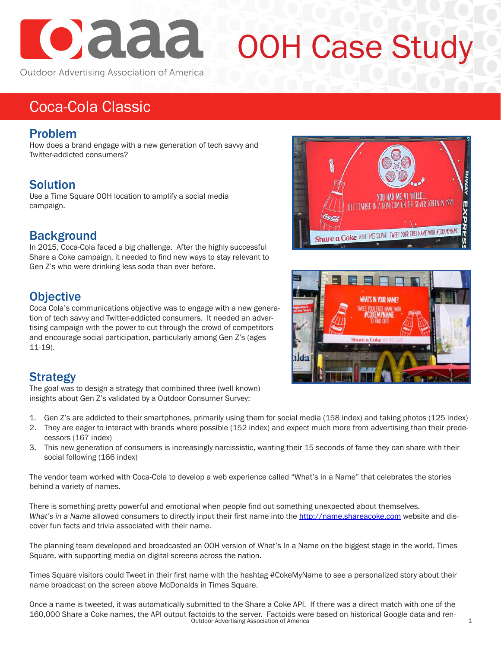

# OOH Case Study

Outdoor Advertising Association of America

## Coca-Cola Classic

#### Problem

How does a brand engage with a new generation of tech savvy and Twitter-addicted consumers?

### Solution

Use a Time Square OOH location to amplify a social media campaign.

#### **Background**

In 2015, Coca-Cola faced a big challenge. After the highly successful Share a Coke campaign, it needed to find new ways to stay relevant to Gen Z's who were drinking less soda than ever before.

#### **Objective**

Coca Cola's communications objective was to engage with a new generation of tech savvy and Twitter-addicted consumers. It needed an advertising campaign with the power to cut through the crowd of competitors and encourage social participation, particularly among Gen Z's (ages 11-19).

### Strategy

The goal was to design a strategy that combined three (well known) insights about Gen Z's validated by a Outdoor Consumer Survey:

- 1. Gen Z's are addicted to their smartphones, primarily using them for social media (158 index) and taking photos (125 index)
- 2. They are eager to interact with brands where possible (152 index) and expect much more from advertising than their predecessors (167 index)
- 3. This new generation of consumers is increasingly narcissistic, wanting their 15 seconds of fame they can share with their social following (166 index)

The vendor team worked with Coca-Cola to develop a web experience called "What's in a Name" that celebrates the stories behind a variety of names.

There is something pretty powerful and emotional when people find out something unexpected about themselves. *What's in a Name* allowed consumers to directly input their first name into the http://name.shareacoke.com website and discover fun facts and trivia associated with their name.

The planning team developed and broadcasted an OOH version of What's In a Name on the biggest stage in the world, Times Square, with supporting media on digital screens across the nation.

Times Square visitors could Tweet in their first name with the hashtag #CokeMyName to see a personalized story about their name broadcast on the screen above McDonalds in Times Square.

Once a name is tweeted, it was automatically submitted to the Share a Coke API. If there was a direct match with one of the 160,000 Share a Coke names, the API output factoids to the server. Factoids were based on historical Google data and ren- Outdoor Advertising Association of America <sup>1</sup>